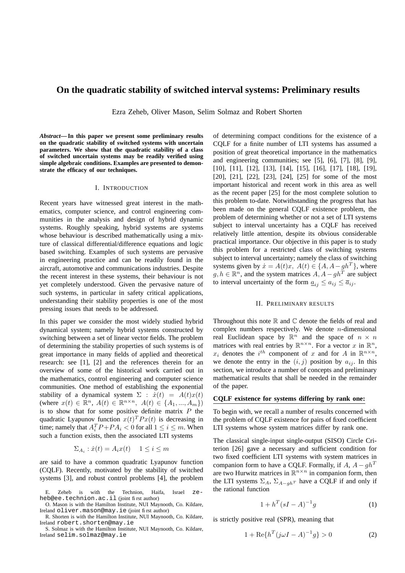# **On the quadratic stability of switched interval systems: Preliminary results**

Ezra Zeheb, Oliver Mason, Selim Solmaz and Robert Shorten

*Abstract***—In this paper we present some preliminary results on the quadratic stability of switched systems with uncertain parameters. We show that the quadratic stability of a class of switched uncertain systems may be readily verified using simple algebraic conditions. Examples are presented to demonstrate the efficacy of our techniques.**

### I. INTRODUCTION

Recent years have witnessed great interest in the mathematics, computer science, and control engineering communities in the analysis and design of hybrid dynamic systems. Roughly speaking, hybrid systems are systems whose behaviour is described mathematically using a mixture of classical differential/difference equations and logic based switching. Examples of such systems are pervasive in engineering practice and can be readily found in the aircraft, automotive and communications industries. Despite the recent interest in these systems, their behaviour is not yet completely understood. Given the pervasive nature of such systems, in particular in safety critical applications, understanding their stability properties is one of the most pressing issues that needs to be addressed.

In this paper we consider the most widely studied hybrid dynamical system; namely hybrid systems constructed by switching between a set of linear vector fields. The problem of determining the stability properties of such systems is of great importance in many fields of applied and theoretical research: see [1], [2] and the references therein for an overview of some of the historical work carried out in the mathematics, control engineering and computer science communities. One method of establishing the exponential stability of a dynamical system  $\Sigma$  :  $\dot{x}(t) = A(t)x(t)$ (where  $x(t) \in \mathbb{R}^n$ ,  $A(t) \in \mathbb{R}^{n \times n}$ ,  $A(t) \in \{A_1, ..., A_m\}$ ) is to show that for some positive definite matrix  $P$  the quadratic Lyapunov function  $x(t)^T P x(t)$  is decreasing in time; namely that  $A_i^T P + P A_i < 0$  for all  $1 \le i \le m$ . When such a function exists, then the associated LTI systems

$$
\Sigma_{A_i} : \dot{x}(t) = A_i x(t) \quad 1 \le i \le m
$$

are said to have a common quadratic Lyapunov function (CQLF). Recently, motivated by the stability of switched systems [3], and robust control problems [4], the problem of determining compact conditions for the existence of a CQLF for a finite number of LTI systems has assumed a position of great theoretical importance in the mathematics and engineering communities; see [5], [6], [7], [8], [9], [10], [11], [12], [13], [14], [15], [16], [17], [18], [19], [20], [21], [22], [23], [24], [25] for some of the most important historical and recent work in this area as well as the recent paper [25] for the most complete solution to this problem to-date. Notwithstanding the progress that has been made on the general CQLF existence problem, the problem of determining whether or not a set of LTI systems subject to interval uncertainty has a CQLF has received relatively little attention, despite its obvious considerable practical importance. Our objective in this paper is to study this problem for a restricted class of switching systems subject to interval uncertainty; namely the class of switching systems given by  $\dot{x} = A(t)x$ ,  $A(t) \in \{A, A - gh^T\}$ , where  $g, h \in \mathbb{R}^n$ , and the system matrices  $A, A - gh^T$  are subject to interval uncertainty of the form  $\underline{a}_{ij} \leq a_{ij} \leq \overline{a}_{ij}$ .

## II. PRELIMINARY RESULTS

Throughout this note  $\mathbb R$  and  $\mathbb C$  denote the fields of real and complex numbers respectively. We denote  $n$ -dimensional real Euclidean space by  $\mathbb{R}^n$  and the space of  $n \times n$ matrices with real entries by  $\mathbb{R}^{n \times n}$ . For a vector x in  $\mathbb{R}^n$ ,  $x_i$  denotes the  $i^{th}$  component of x and for A in  $\mathbb{R}^{n \times n}$ , we denote the entry in the  $(i, j)$  position by  $a_{ij}$ . In this section, we introduce a number of concepts and preliminary mathematical results that shall be needed in the remainder of the paper.

# **CQLF existence for systems differing by rank one:**

To begin with, we recall a number of results concerned with the problem of CQLF existence for pairs of fixed coefficient LTI systems whose system matrices differ by rank one.

The classical single-input single-output (SISO) Circle Criterion [26] gave a necessary and sufficient condition for two fixed coefficient LTI systems with system matrices in companion form to have a CQLF. Formally, if  $A$ ,  $A - gh^T$ are two Hurwitz matrices in  $\mathbb{R}^{n \times n}$  in companion form, then the LTI systems  $\Sigma_A$ ,  $\Sigma_{A-qh^T}$  have a CQLF if and only if the rational function

$$
1 + h^T (sI - A)^{-1} g \tag{1}
$$

is strictly positive real (SPR), meaning that

$$
1 + \text{Re}\{h^T(j\omega I - A)^{-1}g\} > 0
$$
 (2)

E. Zeheb is with the Technion, Haifa, Israel zeheb@ee.technion.ac.il (joint first author)

O. Mason is with the Hamilton Institute, NUI Maynooth, Co. Kildare, Ireland oliver.mason@may.ie (joint first author)

R. Shorten is with the Hamilton Institute, NUI Maynooth, Co. Kildare, Ireland robert.shorten@may.ie

S. Solmaz is with the Hamilton Institute, NUI Maynooth, Co. Kildare, Ireland selim.solmaz@may.ie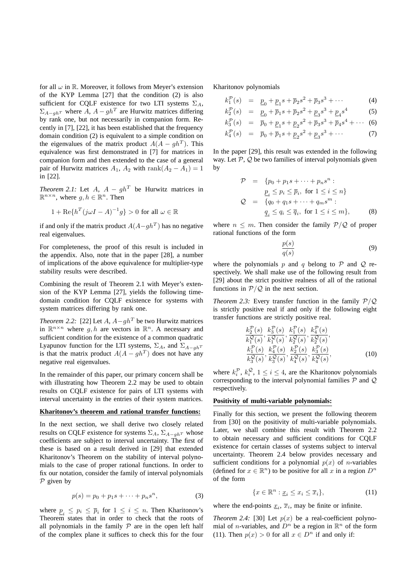for all  $\omega$  in R. Moreover, it follows from Meyer's extension of the KYP Lemma [27] that the condition (2) is also sufficient for CQLF existence for two LTI systems  $\Sigma_A$ ,  $\sum_{A-gh^T}$  where A,  $A - gh^T$  are Hurwitz matrices differing by rank one, but not necessarily in companion form. Recently in [7], [22], it has been established that the frequency domain condition (2) is equivalent to a simple condition on the eigenvalues of the matrix product  $A(A - gh^T)$ . This equivalence was first demonstrated in [7] for matrices in companion form and then extended to the case of a general pair of Hurwitz matrices  $A_1$ ,  $A_2$  with rank $(A_2 - A_1) = 1$ in [22].

*Theorem 2.1:* Let  $A$ ,  $A - gh^T$  be Hurwitz matrices in  $\mathbb{R}^{n \times n}$ , where  $g, h \in \mathbb{R}^n$ . Then

$$
1 + \text{Re}\{h^T(j\omega I - A)^{-1}g\} > 0 \text{ for all } \omega \in \mathbb{R}
$$

if and only if the matrix product  $A(A - gh^T)$  has no negative real eigenvalues.

For completeness, the proof of this result is included in the appendix. Also, note that in the paper [28], a number of implications of the above equivalence for multiplier-type stability results were described.

Combining the result of Theorem 2.1 with Meyer's extension of the KYP Lemma [27], yields the following timedomain condition for CQLF existence for systems with system matrices differing by rank one.

*Theorem* 2.2: [22] Let  $A$ ,  $A - gh^T$  be two Hurwitz matrices in  $\mathbb{R}^{n \times n}$  where g, h are vectors in  $\mathbb{R}^n$ . A necessary and sufficient condition for the existence of a common quadratic Lyapunov function for the LTI systems,  $\Sigma_A$ , and  $\Sigma_{A-ghT}$ is that the matrix product  $A(A - gh^T)$  does not have any negative real eigenvalues.

In the remainder of this paper, our primary concern shall be with illustrating how Theorem 2.2 may be used to obtain results on CQLF existence for pairs of LTI systems with interval uncertainty in the entries of their system matrices.

#### **Kharitonov's theorem and rational transfer functions:**

In the next section, we shall derive two closely related results on CQLF existence for systems  $\Sigma_A$ ,  $\Sigma_{A-qhT}$  whose coefficients are subject to interval uncertainty. The first of these is based on a result derived in [29] that extended Kharitonov's Theorem on the stability of interval polynomials to the case of proper rational functions. In order to fix our notation, consider the family of interval polynomials  $P$  given by

$$
p(s) = p_0 + p_1 s + \dots + p_n s^n,
$$
 (3)

where  $\underline{p}_i \leq p_i \leq \overline{p}_i$  for  $1 \leq i \leq n$ . Then Kharitonov's Theorem states that in order to check that the roots of all polynomials in the family  $P$  are in the open left half of the complex plane it suffices to check this for the four

Kharitonov polynomials

$$
k_1^{\mathcal{P}}(s) = \underline{p}_0 + \underline{p}_1 s + \overline{p}_2 s^2 + \overline{p}_3 s^3 + \cdots
$$
 (4)

$$
k_2^{\mathcal{P}}(s) = \underline{p}_0 + \overline{p}_1 s + \overline{p}_2 s^2 + \underline{p}_3 s^3 + \underline{p}_4 s^4 \tag{5}
$$

$$
k_3^{\mathcal{P}}(s) = \overline{p}_0 + \underline{p}_1 s + \underline{p}_2 s^2 + \overline{p}_3 s^3 + \overline{p}_4 s^4 + \cdots (6)
$$

$$
k_4^{\mathcal{P}}(s) = \overline{p}_0 + \overline{p}_1 s + \underline{p}_2 s^2 + \underline{p}_3 s^3 + \cdots
$$
 (7)

In the paper [29], this result was extended in the following way. Let  $P$ ,  $Q$  be two families of interval polynomials given by

$$
\mathcal{P} = \{p_0 + p_1 s + \dots + p_n s^n :
$$
  
\n
$$
\underline{p}_i \le p_i \le \overline{p}_i, \text{ for } 1 \le i \le n\}
$$
  
\n
$$
\mathcal{Q} = \{q_0 + q_1 s + \dots + q_m s^m :
$$
  
\n
$$
\underline{q}_i \le q_i \le \overline{q}_i, \text{ for } 1 \le i \le m\},
$$
\n(8)

where  $n \leq m$ . Then consider the family  $P/Q$  of proper rational functions of the form

$$
\frac{p(s)}{q(s)}\tag{9}
$$

where the polynomials  $p$  and  $q$  belong to  $\mathcal P$  and  $\mathcal Q$  respectively. We shall make use of the following result from [29] about the strict positive realness of all of the rational functions in  $P/Q$  in the next section.

*Theorem* 2.3: Every transfer function in the family  $P/Q$ is strictly positive real if and only if the following eight transfer functions are strictly positive real.

$$
\frac{k_2^{\mathcal{P}}(s)}{k_1^{\mathcal{P}}(s)}, \frac{k_3^{\mathcal{P}}(s)}{k_1^{\mathcal{Q}}(s)}, \frac{k_1^{\mathcal{P}}(s)}{k_2^{\mathcal{Q}}(s)}, \frac{k_4^{\mathcal{P}}(s)}{k_2^{\mathcal{Q}}(s)}, \frac{k_1^{\mathcal{P}}(s)}{k_3^{\mathcal{Q}}(s)}, \frac{k_4^{\mathcal{P}}(s)}{k_3^{\mathcal{Q}}(s)}, \frac{k_2^{\mathcal{P}}(s)}{k_4^{\mathcal{Q}}(s)}, \frac{k_3^{\mathcal{P}}(s)}{k_4^{\mathcal{Q}}(s)}, \tag{10}
$$

where  $k_i^{\mathcal{P}}, k_i^{\mathcal{Q}}, 1 \leq i \leq 4$ , are the Kharitonov polynomials corresponding to the interval polynomial families  $P$  and  $Q$ respectively.

# **Positivity of multi-variable polynomials:**

Finally for this section, we present the following theorem from [30] on the positivity of multi-variable polynomials. Later, we shall combine this result with Theorem 2.2 to obtain necessary and sufficient conditions for CQLF existence for certain classes of systems subject to interval uncertainty. Theorem 2.4 below provides necessary and sufficient conditions for a polynomial  $p(x)$  of *n*-variables (defined for  $x \in \mathbb{R}^n$ ) to be positive for all x in a region  $D^n$ of the form

$$
\{x \in \mathbb{R}^n : \underline{x}_i \le x_i \le \overline{x}_i\},\tag{11}
$$

where the end-points  $\underline{x}_i$ ,  $\overline{x}_i$ , may be finite or infinite.

*Theorem* 2.4: [30] Let  $p(x)$  be a real-coefficient polynomial of *n*-variables, and  $D^n$  be a region in  $\mathbb{R}^n$  of the form (11). Then  $p(x) > 0$  for all  $x \in D^n$  if and only if: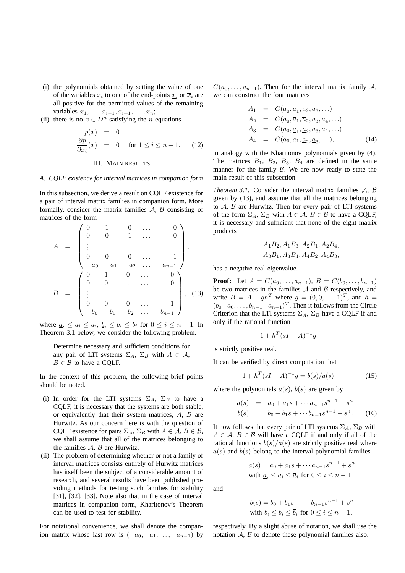- (i) the polynomials obtained by setting the value of one of the variables  $x_i$  to one of the end-points  $\underline{x}_i$  or  $\overline{x}_i$  are all positive for the permitted values of the remaining variables  $x_1, \ldots, x_{i-1}, x_{i+1}, \ldots, x_n;$
- (ii) there is no  $x \in D^n$  satisfying the *n* equations

$$
p(x) = 0
$$
  
\n
$$
\frac{\partial p}{\partial x_i}(x) = 0 \quad \text{for } 1 \le i \le n - 1. \quad (12)
$$

### III. MAIN RESULTS

### *A. CQLF existence for interval matrices in companion form*

In this subsection, we derive a result on CQLF existence for a pair of interval matrix families in companion form. More formally, consider the matrix families  $A$ ,  $B$  consisting of matrices of the form

$$
A = \begin{pmatrix} 0 & 1 & 0 & \dots & 0 \\ 0 & 0 & 1 & \dots & 0 \\ \vdots & & & & \\ 0 & 0 & 0 & \dots & 1 \\ -a_0 & -a_1 & -a_2 & \dots & -a_{n-1} \end{pmatrix},
$$
  

$$
B = \begin{pmatrix} 0 & 1 & 0 & \dots & 0 \\ 0 & 0 & 1 & \dots & 0 \\ \vdots & & & & \\ 0 & 0 & 0 & \dots & 1 \\ -b_0 & -b_1 & -b_2 & \dots & -b_{n-1} \end{pmatrix}, (13)
$$

where  $\underline{a}_i \leq a_i \leq \overline{a}_i$ ,  $\underline{b}_i \leq b_i \leq b_i$  for  $0 \leq i \leq n-1$ . In Theorem 3.1 below, we consider the following problem.

Determine necessary and sufficient conditions for any pair of LTI systems  $\Sigma_A$ ,  $\Sigma_B$  with  $A \in \mathcal{A}$ ,  $B \in \mathcal{B}$  to have a COLF.

In the context of this problem, the following brief points should be noted.

- (i) In order for the LTI systems  $\Sigma_A$ ,  $\Sigma_B$  to have a CQLF, it is necessary that the systems are both stable, or equivalently that their system matrices, A, B are Hurwitz. As our concern here is with the question of CQLF existence for pairs  $\Sigma_A$ ,  $\Sigma_B$  with  $A \in \mathcal{A}, B \in \mathcal{B}$ , we shall assume that all of the matrices belonging to the families  $A$ ,  $B$  are Hurwitz.
- (ii) The problem of determining whether or not a family of interval matrices consists entirely of Hurwitz matrices has itself been the subject of a considerable amount of research, and several results have been published providing methods for testing such families for stability [31], [32], [33]. Note also that in the case of interval matrices in companion form, Kharitonov's Theorem can be used to test for stability.

For notational convenience, we shall denote the companion matrix whose last row is  $(-a_0, -a_1, \ldots, -a_{n-1})$  by  $C(a_0, \ldots, a_{n-1})$ . Then for the interval matrix family A, we can construct the four matrices

$$
A_1 = C(\underline{a}_0, \underline{a}_1, \overline{a}_2, \overline{a}_3, \ldots)
$$
  
\n
$$
A_2 = C(\underline{a}_0, \overline{a}_1, \overline{a}_2, \underline{a}_3, \underline{a}_4, \ldots)
$$
  
\n
$$
A_3 = C(\overline{a}_0, \underline{a}_1, \underline{a}_2, \overline{a}_3, \overline{a}_4, \ldots)
$$
  
\n
$$
A_4 = C(\overline{a}_0, \overline{a}_1, \underline{a}_2, \underline{a}_3, \ldots), \qquad (14)
$$

in analogy with the Kharitonov polynomials given by (4). The matrices  $B_1$ ,  $B_2$ ,  $B_3$ ,  $B_4$  are defined in the same manner for the family  $\beta$ . We are now ready to state the main result of this subsection.

*Theorem 3.1:* Consider the interval matrix families A, B given by (13), and assume that all the matrices belonging to  $A$ ,  $B$  are Hurwitz. Then for every pair of LTI systems of the form  $\Sigma_A$ ,  $\Sigma_B$  with  $A \in \mathcal{A}$ ,  $B \in \mathcal{B}$  to have a CQLF, it is necessary and sufficient that none of the eight matrix products

$$
A_1B_2
$$
,  $A_1B_3$ ,  $A_2B_1$ ,  $A_2B_4$ ,  
 $A_3B_1$ ,  $A_3B_4$ ,  $A_4B_2$ ,  $A_4B_3$ ,

has a negative real eigenvalue.

**Proof:** Let  $A = C(a_0, \ldots, a_{n-1}), B = C(b_0, \ldots, b_{n-1})$ be two matrices in the families  $A$  and  $B$  respectively, and write  $B = A - gh^T$  where  $g = (0, 0, \dots, 1)^T$ , and  $h =$  $(b_0-a_0, \ldots, b_{n-1}-a_{n-1})^T$ . Then it follows from the Circle Criterion that the LTI systems  $\Sigma_A$ ,  $\Sigma_B$  have a CQLF if and only if the rational function

$$
1 + h^T (sI - A)^{-1} g
$$

is strictly positive real.

It can be verified by direct computation that

$$
1 + h^{T}(sI - A)^{-1}g = b(s)/a(s)
$$
 (15)

where the polynomials  $a(s)$ ,  $b(s)$  are given by

$$
a(s) = a_0 + a_1 s + \cdots a_{n-1} s^{n-1} + s^n
$$
  
\n
$$
b(s) = b_0 + b_1 s + \cdots b_{n-1} s^{n-1} + s^n.
$$
 (16)

It now follows that every pair of LTI systems  $\Sigma_A$ ,  $\Sigma_B$  with  $A \in \mathcal{A}, B \in \mathcal{B}$  will have a CQLF if and only if all of the rational functions  $b(s)/a(s)$  are strictly positive real where  $a(s)$  and  $b(s)$  belong to the interval polynomial families

$$
a(s) = a_0 + a_1 s + \dots + a_{n-1} s^{n-1} + s^n
$$
  
with 
$$
\underline{a}_i \le a_i \le \overline{a}_i \text{ for } 0 \le i \le n-1
$$

and

$$
b(s) = b_0 + b_1 s + \dots + b_{n-1} s^{n-1} + s^n
$$
  
with 
$$
\underline{b}_i \le b_i \le \overline{b}_i \text{ for } 0 \le i \le n-1.
$$

respectively. By a slight abuse of notation, we shall use the notation  $A$ ,  $B$  to denote these polynomial families also.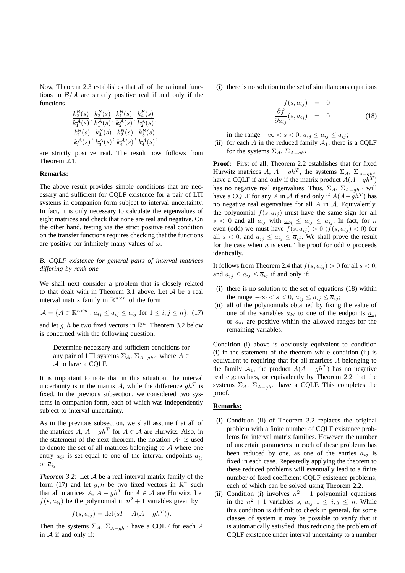Now, Theorem 2.3 establishes that all of the rational functions in  $\beta/A$  are strictly positive real if and only if the functions

$$
\frac{k_2^{\mathcal{B}}(s)}{k_1^{\mathcal{A}}(s)}, \frac{k_3^{\mathcal{B}}(s)}{k_1^{\mathcal{A}}(s)}, \frac{k_1^{\mathcal{B}}(s)}{k_2^{\mathcal{A}}(s)}, \frac{k_4^{\mathcal{B}}(s)}{k_2^{\mathcal{A}}(s)}, \frac{k_1^{\mathcal{B}}(s)}{k_3^{\mathcal{A}}(s)}, \frac{k_1^{\mathcal{B}}(s)}{k_3^{\mathcal{A}}(s)}, \frac{k_2^{\mathcal{B}}(s)}{k_4^{\mathcal{A}}(s)}, \frac{k_3^{\mathcal{B}}(s)}{k_4^{\mathcal{A}}(s)}, \frac{k_4^{\mathcal{A}}(s)}{k_4^{\mathcal{A}}(s)},
$$

are strictly positive real. The result now follows from Theorem 2.1.

# **Remarks:**

The above result provides simple conditions that are necessary and sufficient for CQLF existence for a pair of LTI systems in companion form subject to interval uncertainty. In fact, it is only necessary to calculate the eigenvalues of eight matrices and check that none are real and negative. On the other hand, testing via the strict positive real condition on the transfer functions requires checking that the functions are positive for infinitely many values of  $\omega$ .

*B. CQLF existence for general pairs of interval matrices differing by rank one*

We shall next consider a problem that is closely related to that dealt with in Theorem 3.1 above. Let  $A$  be a real interval matrix family in  $\mathbb{R}^{n \times n}$  of the form

$$
\mathcal{A} = \{ A \in \mathbb{R}^{n \times n} : \underline{a}_{ij} \le a_{ij} \le \overline{a}_{ij} \text{ for } 1 \le i, j \le n \}, (17)
$$

and let  $g, h$  be two fixed vectors in  $\mathbb{R}^n$ . Theorem 3.2 below is concerned with the following question.

Determine necessary and sufficient conditions for any pair of LTI systems  $\Sigma_A$ ,  $\Sigma_{A-gh^T}$  where  $A \in$ A to have a CQLF.

It is important to note that in this situation, the interval uncertainty is in the matrix A, while the difference  $gh^T$  is fixed. In the previous subsection, we considered two systems in companion form, each of which was independently subject to interval uncertainty.

As in the previous subsection, we shall assume that all of the matrices  $A, A - gh^T$  for  $A \in \mathcal{A}$  are Hurwitz. Also, in the statement of the next theorem, the notation  $A_1$  is used to denote the set of all matrices belonging to  $A$  where one entry  $a_{ij}$  is set equal to one of the interval endpoints  $\underline{a}_{ij}$ or  $\overline{a}_{ij}$ .

*Theorem 3.2:* Let A be a real interval matrix family of the form (17) and let g, h be two fixed vectors in  $\mathbb{R}^n$  such that all matrices A,  $A - gh^T$  for  $A \in \mathcal{A}$  are Hurwitz. Let  $f(s, a_{ij})$  be the polynomial in  $n^2 + 1$  variables given by

$$
f(s, a_{ij}) = \det(sI - A(A - gh^T)).
$$

Then the systems  $\Sigma_A$ ,  $\Sigma_{A-qh^T}$  have a CQLF for each A in  $A$  if and only if:

(i) there is no solution to the set of simultaneous equations

$$
f(s, a_{ij}) = 0
$$

$$
\frac{\partial f}{\partial a_{ij}}(s, a_{ij}) = 0
$$
(18)

in the range  $-\infty < s < 0$ ,  $\underline{a}_{ij} \le a_{ij} \le \overline{a}_{ij}$ ;

(ii) for each A in the reduced family  $A_1$ , there is a CQLF for the systems  $\Sigma_A$ ,  $\Sigma_{A-qh}$ <sup>T</sup>.

**Proof:** First of all, Theorem 2.2 establishes that for fixed Hurwitz matrices A,  $A - gh^T$ , the systems  $\Sigma_A$ ,  $\Sigma_{A-ghT}$ have a CQLF if and only if the matrix product  $A(A - g\tilde{h}^T)$ has no negative real eigenvalues. Thus,  $\Sigma_A$ ,  $\Sigma_{A-qh}$  will have a CQLF for any A in A if and only if  $A(A - gh^T)$  has no negative real eigenvalues for all  $A$  in  $A$ . Equivalently, the polynomial  $f(s, a_{ij})$  must have the same sign for all  $s < 0$  and all  $a_{ij}$  with  $\underline{a}_{ij} \le a_{ij} \le \overline{a}_{ij}$ . In fact, for n even (odd) we must have  $f(s, a_{ij}) > 0$   $(f(s, a_{ij}) < 0)$  for all  $s < 0$ , and  $\underline{a}_{ij} \le a_{ij} \le \overline{a}_{ij}$ . We shall prove the result for the case when  $n$  is even. The proof for odd  $n$  proceeds identically.

It follows from Theorem 2.4 that  $f(s, a_{ij}) > 0$  for all  $s < 0$ , and  $\underline{a}_{ij} \leq a_{ij} \leq \overline{a}_{ij}$  if and only if:

- (i) there is no solution to the set of equations (18) within the range  $-\infty < s < 0$ ,  $\underline{a_{ij}} \le a_{ij} \le \overline{a_{ij}}$ ;
- (ii) all of the polynomials obtained by fixing the value of one of the variables  $a_{kl}$  to one of the endpoints  $\underline{a}_{kl}$ or  $\overline{a}_{kl}$  are positive within the allowed ranges for the remaining variables.

Condition (i) above is obviously equivalent to condition (i) in the statement of the theorem while condition (ii) is equivalent to requiring that for all matrices A belonging to the family  $A_1$ , the product  $A(A - gh^T)$  has no negative real eigenvalues, or equivalently by Theorem 2.2 that the systems  $\Sigma_A$ ,  $\Sigma_{A-gh}$  have a CQLF. This completes the proof.

# **Remarks:**

- (i) Condition (ii) of Theorem 3.2 replaces the original problem with a finite number of CQLF existence problems for interval matrix families. However, the number of uncertain parameters in each of these problems has been reduced by one, as one of the entries  $a_{ij}$  is fixed in each case. Repeatedly applying the theorem to these reduced problems will eventually lead to a finite number of fixed coefficient CQLF existence problems, each of which can be solved using Theorem 2.2.
- (ii) Condition (i) involves  $n^2 + 1$  polynomial equations in the  $n^2 + 1$  variables s,  $a_{ij}, 1 \le i, j \le n$ . While this condition is difficult to check in general, for some classes of system it may be possible to verify that it is automatically satisfied, thus reducing the problem of CQLF existence under interval uncertainty to a number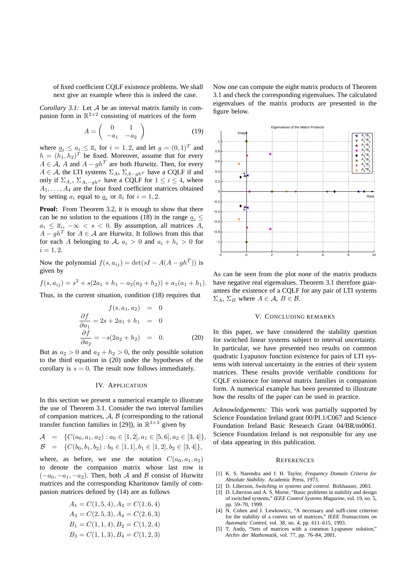of fixed coefficient CQLF existence problems. We shall next give an example where this is indeed the case.

*Corollary 3.1:* Let A be an interval matrix family in companion form in  $\mathbb{R}^{2\times 2}$  consisting of matrices of the form

$$
A = \left(\begin{array}{cc} 0 & 1\\ -a_1 & -a_2 \end{array}\right) \tag{19}
$$

where  $\underline{a}_i \leq \underline{a}_i \leq \overline{a}_i$  for  $i = 1, 2$ , and let  $g = (0, 1)^T$  and  $h = (h_1, h_2)^T$  be fixed. Moreover, assume that for every  $A \in \mathcal{A}$ , A and  $A - gh^T$  are both Hurwitz. Then, for every  $A \in \mathcal{A}$ , the LTI systems  $\Sigma_A$ ,  $\Sigma_{A-gh^T}$  have a CQLF if and only if  $\Sigma_{A_i}$ ,  $\Sigma_{A_i-gh}$ <sup>T</sup> have a CQLF for  $1 \le i \le 4$ , where  $A_1, \ldots, A_4$  are the four fixed coefficient matrices obtained by setting  $a_i$  equal to  $\underline{a}_i$  or  $\overline{a}_i$  for  $i = 1, 2$ .

**Proof:** From Theorem 3.2, it is enough to show that there can be no solution to the equations (18) in the range  $a_i$  <  $a_i \leq \overline{a}_i$ ,  $-\infty < s < 0$ . By assumption, all matrices A,  $A - gh^T$  for  $A \in \mathcal{A}$  are Hurwitz. It follows from this that for each A belonging to A,  $a_i > 0$  and  $a_i + h_i > 0$  for  $i = 1, 2.$ 

Now the polynomial  $f(s, a_{ij}) = \det(sI - A(A - gh^T))$  is given by

$$
f(s, a_{ij}) = s^2 + s(2a_1 + h_1 - a_2(a_2 + h_2)) + a_1(a_1 + h_1).
$$

Thus, in the current situation, condition (18) requires that

$$
f(s, a_1, a_2) = 0
$$

$$
\frac{\partial f}{\partial a_1} = 2s + 2a_1 + h_1 = 0
$$

$$
\frac{\partial f}{\partial a_2} = -s(2a_2 + h_2) = 0.
$$
(20)

But as  $a_2 > 0$  and  $a_2 + h_2 > 0$ , the only possible solution to the third equation in (20) under the hypotheses of the corollary is  $s = 0$ . The result now follows immediately.

#### IV. APPLICATION

In this section we present a numerical example to illustrate the use of Theorem 3.1. Consider the two interval families of companion matrices,  $A, B$  (corresponding to the rational transfer function families in [29]), in  $\mathbb{R}^{3\times3}$  given by

$$
\mathcal{A} = \{ C(a_0, a_1, a_2) : a_0 \in [1, 2], a_1 \in [5, 6], a_2 \in [3, 4] \},\
$$
  

$$
\mathcal{B} = \{ C(b_0, b_1, b_2) : b_0 \in [1, 1], b_1 \in [1, 2], b_2 \in [3, 4] \},\
$$

where, as before, we use the notation  $C(a_0, a_1, a_2)$ to denote the companion matrix whose last row is  $(-a_0, -a_1, -a_2)$ . Then, both A and B consist of Hurwitz matrices and the corresponding Kharitonov family of companion matrices defined by (14) are as follows

$$
A_1 = C(1, 5, 4), A_2 = C(1, 6, 4)
$$
  
\n
$$
A_3 = C(2, 5, 3), A_4 = C(2, 6, 3)
$$
  
\n
$$
B_1 = C(1, 1, 4), B_2 = C(1, 2, 4)
$$
  
\n
$$
B_3 = C(1, 1, 3), B_4 = C(1, 2, 3)
$$

Now one can compute the eight matrix products of Theorem 3.1 and check the corresponding eigenvalues. The calculated eigenvalues of the matrix products are presented in the figure below.



As can be seen from the plot none of the matrix products have negative real eigenvalues. Theorem 3.1 therefore guarantees the existence of a CQLF for any pair of LTI systems  $\Sigma_A$ ,  $\Sigma_B$  where  $A \in \mathcal{A}$ ,  $B \in \mathcal{B}$ .

# V. CONCLUDING REMARKS

In this paper, we have considered the stability question for switched linear systems subject to interval uncertainty. In particular, we have presented two results on common quadratic Lyapunov function existence for pairs of LTI systems with interval uncertainty in the entries of their system matrices. These results provide verifiable conditions for CQLF existence for interval matrix families in companion form. A numerical example has been presented to illustrate how the results of the paper can be used in practice.

*Acknowledgements:* This work was partially supported by Science Foundation Ireland grant 00/PI.1/C067 and Science Foundation Ireland Basic Research Grant 04/BR/m0061. Science Foundation Ireland is not responsible for any use of data appearing in this publication.

#### **REFERENCES**

- [1] K. S. Narendra and J. H. Taylor, *Frequency Domain Criteria for Absolute Stability*. Academic Press, 1973.
- [2] D. Liberzon, *Switching in systems and control*. Birkhauser, 2003.
- [3] D. Liberzon and A. S. Morse, "Basic problems in stability and design of switched systems," *IEEE Control Systems Magazine*, vol. 19, no. 5, pp. 59–70, 1999.
- [4] N. Cohen and I. Lewkowicz, "A necessary and sufficient criterion for the stability of a convex set of matrices," *IEEE Transactions on Automatic Control*, vol. 38, no. 4, pp. 611–615, 1993.
- [5] T. Ando, "Sets of matrices with a common Lyapunov solution," *Archiv der Mathematik*, vol. 77, pp. 76–84, 2001.